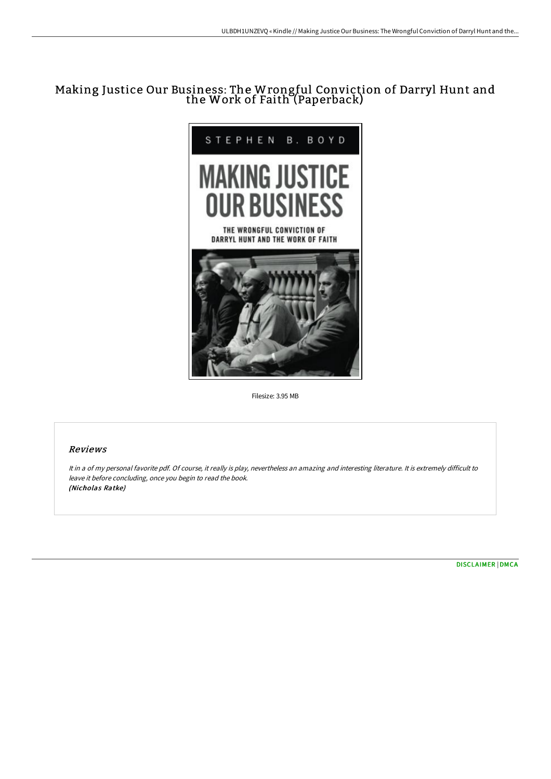# Making Justice Our Business: The Wrongful Conviction of Darryl Hunt and the Work of Faith (Paperback)



Filesize: 3.95 MB

## Reviews

It in <sup>a</sup> of my personal favorite pdf. Of course, it really is play, nevertheless an amazing and interesting literature. It is extremely difficult to leave it before concluding, once you begin to read the book. (Nicholas Ratke)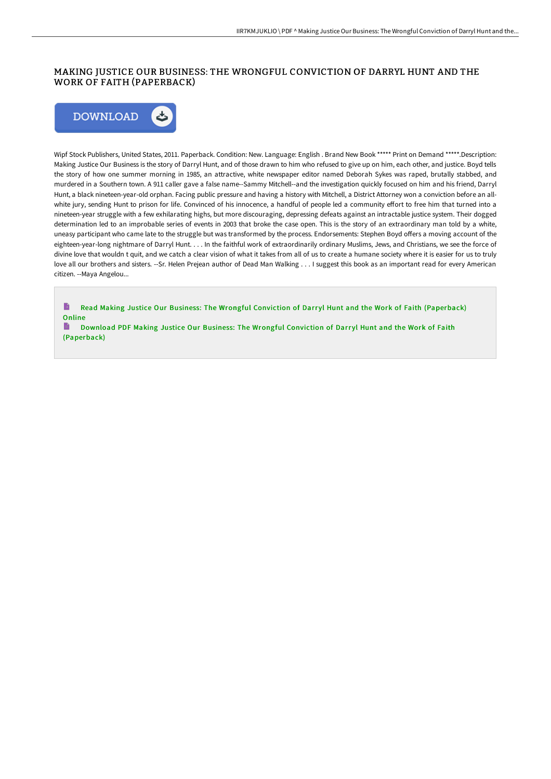# MAKING JUSTICE OUR BUSINESS: THE WRONGFUL CONVICTION OF DARRYL HUNT AND THE WORK OF FAITH (PAPERBACK)



Wipf Stock Publishers, United States, 2011. Paperback. Condition: New. Language: English . Brand New Book \*\*\*\*\* Print on Demand \*\*\*\*\*.Description: Making Justice Our Business is the story of Darryl Hunt, and of those drawn to him who refused to give up on him, each other, and justice. Boyd tells the story of how one summer morning in 1985, an attractive, white newspaper editor named Deborah Sykes was raped, brutally stabbed, and murdered in a Southern town. A 911 caller gave a false name--Sammy Mitchell--and the investigation quickly focused on him and his friend, Darryl Hunt, a black nineteen-year-old orphan. Facing public pressure and having a history with Mitchell, a District Attorney won a conviction before an allwhite jury, sending Hunt to prison for life. Convinced of his innocence, a handful of people led a community effort to free him that turned into a nineteen-year struggle with a few exhilarating highs, but more discouraging, depressing defeats against an intractable justice system. Their dogged determination led to an improbable series of events in 2003 that broke the case open. This is the story of an extraordinary man told by a white, uneasy participant who came late to the struggle but was transformed by the process. Endorsements: Stephen Boyd offers a moving account of the eighteen-year-long nightmare of Darryl Hunt. . . . In the faithful work of extraordinarily ordinary Muslims, Jews, and Christians, we see the force of divine love that wouldn t quit, and we catch a clear vision of what it takes from all of us to create a humane society where it is easier for us to truly love all our brothers and sisters. --Sr. Helen Prejean author of Dead Man Walking . . . I suggest this book as an important read for every American citizen. --Maya Angelou...

B Read Making Justice Our Business: The Wrongful Conviction of Darryl Hunt and the Work of Faith [\(Paperback\)](http://techno-pub.tech/making-justice-our-business-the-wrongful-convict.html) **Online** 

B Download PDF Making Justice Our Business: The Wrongful Conviction of Darryl Hunt and the Work of Faith [\(Paperback\)](http://techno-pub.tech/making-justice-our-business-the-wrongful-convict.html)